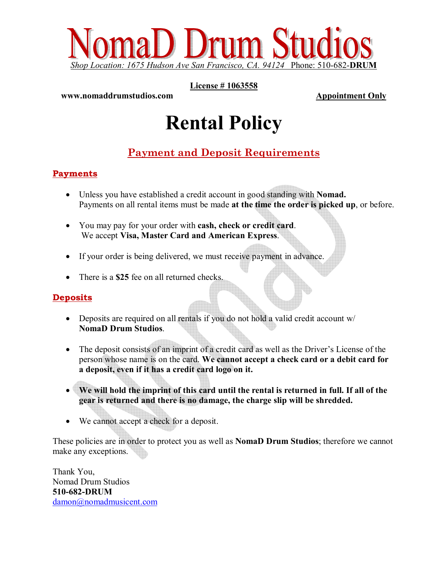

**License # 1063558** 

#### **www.nomaddrumstudios.com** Appointment Only

# **Rental Policy**

## **Payment and Deposit Requirements**

### **Payments**

- Unless you have established a credit account in good standing with **Nomad.**  Payments on all rental items must be made **at the time the order is picked up**, or before.
- You may pay for your order with **cash, check or credit card**. We accept **Visa, Master Card and American Express**.
- If your order is being delivered, we must receive payment in advance.
- There is a **\$25** fee on all returned checks.

### **Deposits**

- Deposits are required on all rentals if you do not hold a valid credit account w/ **NomaD Drum Studios**.
- The deposit consists of an imprint of a credit card as well as the Driver's License of the person whose name is on the card. **We cannot accept a check card or a debit card for a deposit, even if it has a credit card logo on it.**
- **We will hold the imprint of this card until the rental is returned in full. If all of the gear is returned and there is no damage, the charge slip will be shredded.**
- We cannot accept a check for a deposit.

These policies are in order to protect you as well as **NomaD Drum Studios**; therefore we cannot make any exceptions.

Thank You, Nomad Drum Studios **510-682-DRUM**  damon@nomadmusicent.com